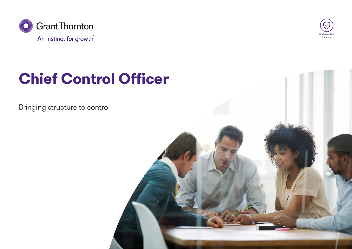



# **Chief Control Officer**

Bringing structure to control

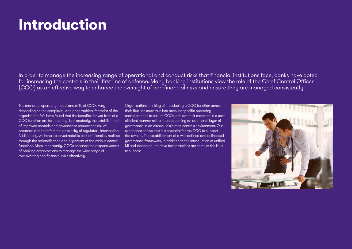# **Introduction**

In order to manage the increasing range of operational and conduct risks that financial institutions face, banks have opted for increasing the controls in their first line of defence. Many banking institutions view the role of the Chief Control Officer (CCO) as an effective way to enhance the oversight of non-financial risks and ensure they are managed consistently.

The mandate, operating model and skills of CCOs vary depending on the complexity and geographical footprint of the organisation. We have found that the benefits derived from of a CCO function are far-reaching. Undisputedly, the establishment of improved controls and governance reduces the risk of breaches and therefore the possibility of regulatory intervention. Additionally, we have observed notable cost-efficiencies, realised through the rationalisation and alignment of the various control functions. More importantly, CCOs enhance the responsiveness of banking organisations to manage the wide range of ever-evolving non-financial risks effectively.

Organisations thinking of introducing a CCO function across their first line must take into account specific operating considerations to ensure CCOs achieve their mandate in a costefficient manner rather than becoming an additional layer of governance in an already disjointed controls environment. Our experience shows that it is essential for the CCO to support risk owners. The establishment of a well-defined and delineated governance framework, in addition to the introduction of unified MI and technology to drive best practices are some of the keys to success.

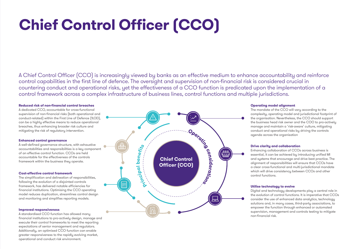# **Chief Control Officer (CCO)**

A Chief Control Officer (CCO) is increasingly viewed by banks as an effective medium to enhance accountability and reinforce control capabilities in the first line of defence. The oversight and supervision of non-financial risk is considered crucial in countering conduct and operational risks, yet the effectiveness of a CCO function is predicated upon the implementation of a control framework across a complex infrastructure of business lines, control functions and multiple jurisdictions.

### **Reduced risk of non-financial control breaches**

A dedicated CCO, accountable for cross-functional supervision of non-financial risks (both operational and conduct-related) within the First Line of Defence (1LOD), can be a highly effective means to reduce operational breaches, thus enhancing broader risk culture and mitigating the risk of regulatory intervention.

### **Enhanced control governance**

A well-defined governance structure, with exhaustive accountabilities and responsibilities is a key component of an effective control function. CCOs are held accountable for the effectiveness of the controls framework within the business they operate.

# **Cost-effective control framework**

The simplification and delineation of responsibilities, following the evolution of a disjointed controls framework, has delivered notable efficiencies for financial institutions. Optimising the CCO operating model reduces duplication, streamlines control design and monitoring and simplifies reporting models.

# **Improved responsiveness**

A standardised CCO function has allowed many financial institutions to pro-actively design, manage and execute their control frameworks to meet the reporting expectations of senior management and regulators. Additionally, an optimised CCO function can enable greater responsiveness to the rapidly evolving market, operational and conduct risk environment.



### **Operating model alignment**

The mandate of the CCO will vary according to the complexity, operating model and jurisdictional footprint of the organisation. Nevertheless, the CCO should support the business head risk owner and the COO to pro-actively manage and maintain a 'risk-aware' culture, mitigating conduct and operational risks by driving the controls agenda across the organisation

### **Drive clarity and collaboration**

Enhancing collaboration of CCOs across business is essential, it can be achieved by introducing unified MI and systems that encourage and drive best practice. The alignment of responsibilities will ensure that CCOs have a clear cross-functional and multi-jurisdictional mandate which will drive consistency between CCOs and other control functions.

# **Utilise technology to evolve**

Digital and technology developments play a central role in the evolution of control functions. It is imperative that CCOs consider the use of enhanced data analytics, technology solutions and, in many cases, third-party associations, to empower the function through enhanced or automated supervision, management and controls testing to mitigate non-financial risk.